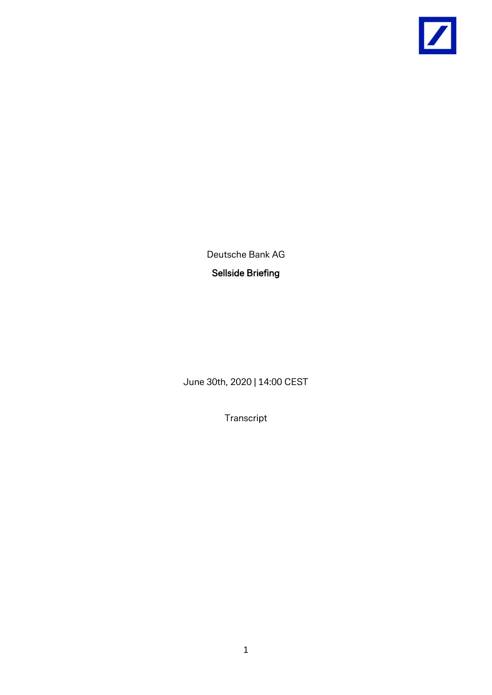

Deutsche Bank AG Sellside Briefing

June 30th, 2020 | 14:00 CEST

Transcript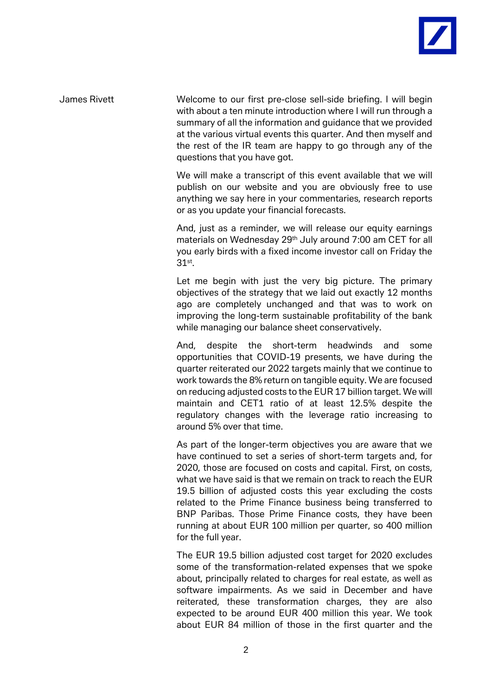

James Rivett Welcome to our first pre-close sell-side briefing. I will begin with about a ten minute introduction where I will run through a summary of all the information and guidance that we provided at the various virtual events this quarter. And then myself and the rest of the IR team are happy to go through any of the questions that you have got.

> We will make a transcript of this event available that we will publish on our website and you are obviously free to use anything we say here in your commentaries, research reports or as you update your financial forecasts.

> And, just as a reminder, we will release our equity earnings materials on Wednesday 29th July around 7:00 am CET for all you early birds with a fixed income investor call on Friday the 31st.

> Let me begin with just the very big picture. The primary objectives of the strategy that we laid out exactly 12 months ago are completely unchanged and that was to work on improving the long-term sustainable profitability of the bank while managing our balance sheet conservatively.

> And, despite the short-term headwinds and some opportunities that COVID-19 presents, we have during the quarter reiterated our 2022 targets mainly that we continue to work towards the 8% return on tangible equity. We are focused on reducing adjusted costs to the EUR 17 billion target. We will maintain and CET1 ratio of at least 12.5% despite the regulatory changes with the leverage ratio increasing to around 5% over that time.

> As part of the longer-term objectives you are aware that we have continued to set a series of short-term targets and, for 2020, those are focused on costs and capital. First, on costs, what we have said is that we remain on track to reach the EUR 19.5 billion of adjusted costs this year excluding the costs related to the Prime Finance business being transferred to BNP Paribas. Those Prime Finance costs, they have been running at about EUR 100 million per quarter, so 400 million for the full year.

> The EUR 19.5 billion adjusted cost target for 2020 excludes some of the transformation-related expenses that we spoke about, principally related to charges for real estate, as well as software impairments. As we said in December and have reiterated, these transformation charges, they are also expected to be around EUR 400 million this year. We took about EUR 84 million of those in the first quarter and the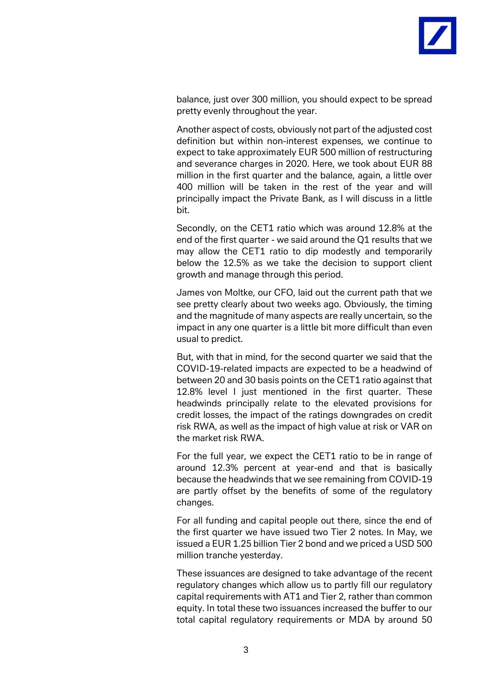balance, just over 300 million, you should expect to be spread pretty evenly throughout the year.

Another aspect of costs, obviously not part of the adjusted cost definition but within non-interest expenses, we continue to expect to take approximately EUR 500 million of restructuring and severance charges in 2020. Here, we took about EUR 88 million in the first quarter and the balance, again, a little over 400 million will be taken in the rest of the year and will principally impact the Private Bank, as I will discuss in a little bit.

Secondly, on the CET1 ratio which was around 12.8% at the end of the first quarter - we said around the Q1 results that we may allow the CET1 ratio to dip modestly and temporarily below the 12.5% as we take the decision to support client growth and manage through this period.

James von Moltke, our CFO, laid out the current path that we see pretty clearly about two weeks ago. Obviously, the timing and the magnitude of many aspects are really uncertain, so the impact in any one quarter is a little bit more difficult than even usual to predict.

But, with that in mind, for the second quarter we said that the COVID-19-related impacts are expected to be a headwind of between 20 and 30 basis points on the CET1 ratio against that 12.8% level I just mentioned in the first quarter. These headwinds principally relate to the elevated provisions for credit losses, the impact of the ratings downgrades on credit risk RWA, as well as the impact of high value at risk or VAR on the market risk RWA.

For the full year, we expect the CET1 ratio to be in range of around 12.3% percent at year-end and that is basically because the headwinds that we see remaining from COVID-19 are partly offset by the benefits of some of the regulatory changes.

For all funding and capital people out there, since the end of the first quarter we have issued two Tier 2 notes. In May, we issued a EUR 1.25 billion Tier 2 bond and we priced a USD 500 million tranche yesterday.

These issuances are designed to take advantage of the recent regulatory changes which allow us to partly fill our regulatory capital requirements with AT1 and Tier 2, rather than common equity. In total these two issuances increased the buffer to our total capital regulatory requirements or MDA by around 50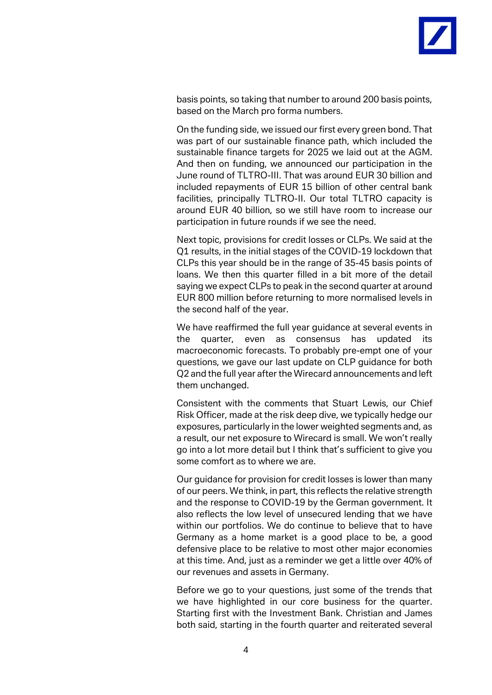

basis points, so taking that number to around 200 basis points, based on the March pro forma numbers.

On the funding side, we issued our first every green bond. That was part of our sustainable finance path, which included the sustainable finance targets for 2025 we laid out at the AGM. And then on funding, we announced our participation in the June round of TLTRO-III. That was around EUR 30 billion and included repayments of EUR 15 billion of other central bank facilities, principally TLTRO-II. Our total TLTRO capacity is around EUR 40 billion, so we still have room to increase our participation in future rounds if we see the need.

Next topic, provisions for credit losses or CLPs. We said at the Q1 results, in the initial stages of the COVID-19 lockdown that CLPs this year should be in the range of 35-45 basis points of loans. We then this quarter filled in a bit more of the detail saying we expect CLPs to peak in the second quarter at around EUR 800 million before returning to more normalised levels in the second half of the year.

We have reaffirmed the full year guidance at several events in the quarter, even as consensus has updated its macroeconomic forecasts. To probably pre-empt one of your questions, we gave our last update on CLP guidance for both Q2 and the full year after the Wirecard announcements and left them unchanged.

Consistent with the comments that Stuart Lewis, our Chief Risk Officer, made at the risk deep dive, we typically hedge our exposures, particularly in the lower weighted segments and, as a result, our net exposure to Wirecard is small. We won't really go into a lot more detail but I think that's sufficient to give you some comfort as to where we are.

Our guidance for provision for credit losses is lower than many of our peers. We think, in part, this reflects the relative strength and the response to COVID-19 by the German government. It also reflects the low level of unsecured lending that we have within our portfolios. We do continue to believe that to have Germany as a home market is a good place to be, a good defensive place to be relative to most other major economies at this time. And, just as a reminder we get a little over 40% of our revenues and assets in Germany.

Before we go to your questions, just some of the trends that we have highlighted in our core business for the quarter. Starting first with the Investment Bank. Christian and James both said, starting in the fourth quarter and reiterated several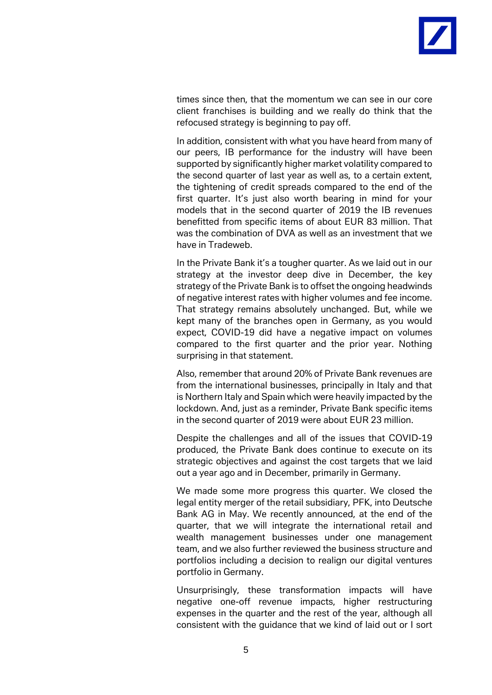times since then, that the momentum we can see in our core client franchises is building and we really do think that the refocused strategy is beginning to pay off.

In addition, consistent with what you have heard from many of our peers, IB performance for the industry will have been supported by significantly higher market volatility compared to the second quarter of last year as well as, to a certain extent, the tightening of credit spreads compared to the end of the first quarter. It's just also worth bearing in mind for your models that in the second quarter of 2019 the IB revenues benefitted from specific items of about EUR 83 million. That was the combination of DVA as well as an investment that we have in Tradeweb.

In the Private Bank it's a tougher quarter. As we laid out in our strategy at the investor deep dive in December, the key strategy of the Private Bank is to offset the ongoing headwinds of negative interest rates with higher volumes and fee income. That strategy remains absolutely unchanged. But, while we kept many of the branches open in Germany, as you would expect, COVID-19 did have a negative impact on volumes compared to the first quarter and the prior year. Nothing surprising in that statement.

Also, remember that around 20% of Private Bank revenues are from the international businesses, principally in Italy and that is Northern Italy and Spain which were heavily impacted by the lockdown. And, just as a reminder, Private Bank specific items in the second quarter of 2019 were about EUR 23 million.

Despite the challenges and all of the issues that COVID-19 produced, the Private Bank does continue to execute on its strategic objectives and against the cost targets that we laid out a year ago and in December, primarily in Germany.

We made some more progress this quarter. We closed the legal entity merger of the retail subsidiary, PFK, into Deutsche Bank AG in May. We recently announced, at the end of the quarter, that we will integrate the international retail and wealth management businesses under one management team, and we also further reviewed the business structure and portfolios including a decision to realign our digital ventures portfolio in Germany.

Unsurprisingly, these transformation impacts will have negative one-off revenue impacts, higher restructuring expenses in the quarter and the rest of the year, although all consistent with the guidance that we kind of laid out or I sort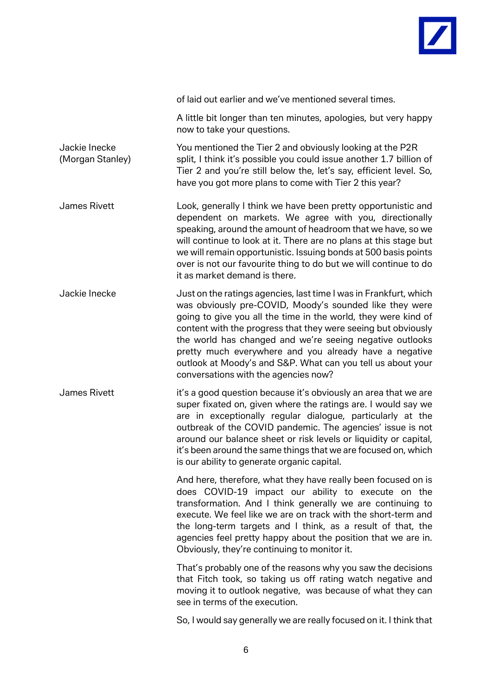

of laid out earlier and we've mentioned several times.

A little bit longer than ten minutes, apologies, but very happy now to take your questions.

Jackie Inecke You mentioned the Tier 2 and obviously looking at the P2R (Morgan Stanley) split, I think it's possible you could issue another 1.7 billion of Tier 2 and you're still below the, let's say, efficient level. So, have you got more plans to come with Tier 2 this year?

James Rivett Look, generally I think we have been pretty opportunistic and dependent on markets. We agree with you, directionally speaking, around the amount of headroom that we have, so we will continue to look at it. There are no plans at this stage but we will remain opportunistic. Issuing bonds at 500 basis points over is not our favourite thing to do but we will continue to do it as market demand is there.

Jackie Inecke Just on the ratings agencies, last time I was in Frankfurt, which was obviously pre-COVID, Moody's sounded like they were going to give you all the time in the world, they were kind of content with the progress that they were seeing but obviously the world has changed and we're seeing negative outlooks pretty much everywhere and you already have a negative outlook at Moody's and S&P. What can you tell us about your conversations with the agencies now?

James Rivett it's a good question because it's obviously an area that we are super fixated on, given where the ratings are. I would say we are in exceptionally regular dialogue, particularly at the outbreak of the COVID pandemic. The agencies' issue is not around our balance sheet or risk levels or liquidity or capital, it's been around the same things that we are focused on, which is our ability to generate organic capital.

> And here, therefore, what they have really been focused on is does COVID-19 impact our ability to execute on the transformation. And I think generally we are continuing to execute. We feel like we are on track with the short-term and the long-term targets and I think, as a result of that, the agencies feel pretty happy about the position that we are in. Obviously, they're continuing to monitor it.

> That's probably one of the reasons why you saw the decisions that Fitch took, so taking us off rating watch negative and moving it to outlook negative, was because of what they can see in terms of the execution.

> So, I would say generally we are really focused on it. I think that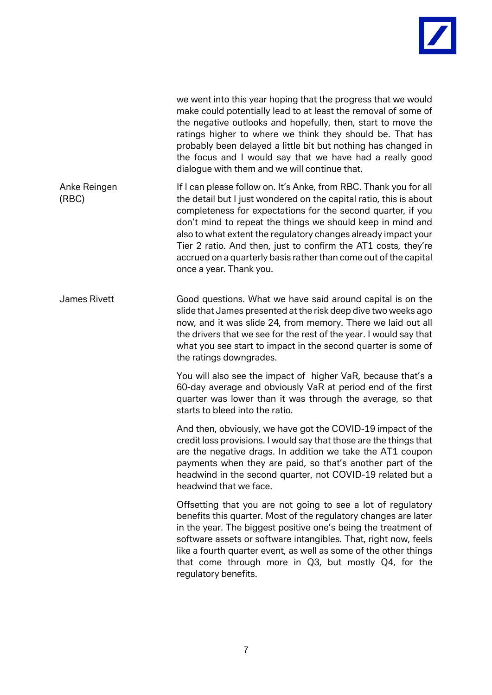

|                       | we went into this year hoping that the progress that we would<br>make could potentially lead to at least the removal of some of<br>the negative outlooks and hopefully, then, start to move the<br>ratings higher to where we think they should be. That has<br>probably been delayed a little bit but nothing has changed in<br>the focus and I would say that we have had a really good<br>dialogue with them and we will continue that.                                                               |
|-----------------------|----------------------------------------------------------------------------------------------------------------------------------------------------------------------------------------------------------------------------------------------------------------------------------------------------------------------------------------------------------------------------------------------------------------------------------------------------------------------------------------------------------|
| Anke Reingen<br>(RBC) | If I can please follow on. It's Anke, from RBC. Thank you for all<br>the detail but I just wondered on the capital ratio, this is about<br>completeness for expectations for the second quarter, if you<br>don't mind to repeat the things we should keep in mind and<br>also to what extent the regulatory changes already impact your<br>Tier 2 ratio. And then, just to confirm the AT1 costs, they're<br>accrued on a quarterly basis rather than come out of the capital<br>once a year. Thank you. |
| James Rivett          | Good questions. What we have said around capital is on the<br>slide that James presented at the risk deep dive two weeks ago<br>now, and it was slide 24, from memory. There we laid out all<br>the drivers that we see for the rest of the year. I would say that<br>what you see start to impact in the second quarter is some of<br>the ratings downgrades.                                                                                                                                           |
|                       | You will also see the impact of higher VaR, because that's a<br>60-day average and obviously VaR at period end of the first<br>quarter was lower than it was through the average, so that<br>starts to bleed into the ratio.                                                                                                                                                                                                                                                                             |
|                       | And then, obviously, we have got the COVID-19 impact of the<br>credit loss provisions. I would say that those are the things that<br>are the negative drags. In addition we take the AT1 coupon<br>payments when they are paid, so that's another part of the<br>headwind in the second quarter, not COVID-19 related but a<br>headwind that we face.                                                                                                                                                    |
|                       | Offsetting that you are not going to see a lot of regulatory<br>benefits this quarter. Most of the regulatory changes are later<br>in the year. The biggest positive one's being the treatment of<br>software assets or software intangibles. That, right now, feels<br>like a fourth quarter event, as well as some of the other things<br>that come through more in Q3, but mostly Q4, for the<br>regulatory benefits.                                                                                 |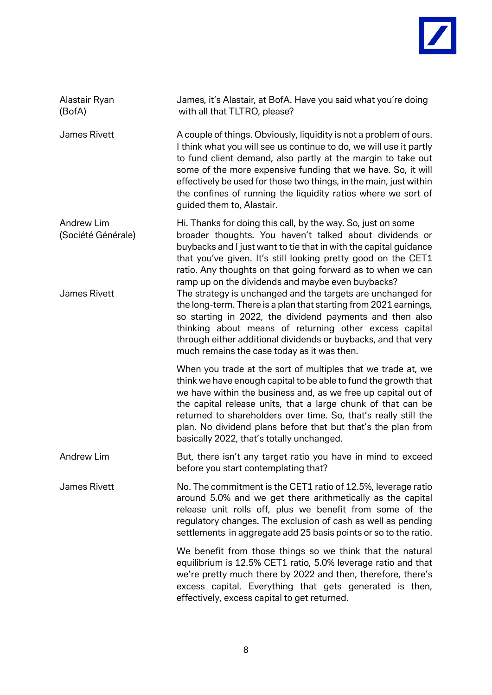

| Alastair Ryan<br>(BofA)                                 | James, it's Alastair, at BofA. Have you said what you're doing<br>with all that TLTRO, please?                                                                                                                                                                                                                                                                                                                                                   |
|---------------------------------------------------------|--------------------------------------------------------------------------------------------------------------------------------------------------------------------------------------------------------------------------------------------------------------------------------------------------------------------------------------------------------------------------------------------------------------------------------------------------|
| James Rivett                                            | A couple of things. Obviously, liquidity is not a problem of ours.<br>I think what you will see us continue to do, we will use it partly<br>to fund client demand, also partly at the margin to take out<br>some of the more expensive funding that we have. So, it will<br>effectively be used for those two things, in the main, just within<br>the confines of running the liquidity ratios where we sort of<br>guided them to, Alastair.     |
| <b>Andrew Lim</b><br>(Société Générale)<br>James Rivett | Hi. Thanks for doing this call, by the way. So, just on some<br>broader thoughts. You haven't talked about dividends or<br>buybacks and I just want to tie that in with the capital guidance<br>that you've given. It's still looking pretty good on the CET1<br>ratio. Any thoughts on that going forward as to when we can<br>ramp up on the dividends and maybe even buybacks?<br>The strategy is unchanged and the targets are unchanged for |
|                                                         | the long-term. There is a plan that starting from 2021 earnings,<br>so starting in 2022, the dividend payments and then also<br>thinking about means of returning other excess capital<br>through either additional dividends or buybacks, and that very<br>much remains the case today as it was then.                                                                                                                                          |
|                                                         | When you trade at the sort of multiples that we trade at, we<br>think we have enough capital to be able to fund the growth that<br>we have within the business and, as we free up capital out of<br>the capital release units, that a large chunk of that can be<br>returned to shareholders over time. So, that's really still the<br>plan. No dividend plans before that but that's the plan from<br>basically 2022, that's totally unchanged. |
| <b>Andrew Lim</b>                                       | But, there isn't any target ratio you have in mind to exceed<br>before you start contemplating that?                                                                                                                                                                                                                                                                                                                                             |
| <b>James Rivett</b>                                     | No. The commitment is the CET1 ratio of 12.5%, leverage ratio<br>around 5.0% and we get there arithmetically as the capital<br>release unit rolls off, plus we benefit from some of the<br>regulatory changes. The exclusion of cash as well as pending<br>settlements in aggregate add 25 basis points or so to the ratio.                                                                                                                      |
|                                                         | We benefit from those things so we think that the natural<br>equilibrium is 12.5% CET1 ratio, 5.0% leverage ratio and that<br>we're pretty much there by 2022 and then, therefore, there's<br>excess capital. Everything that gets generated is then,<br>effectively, excess capital to get returned.                                                                                                                                            |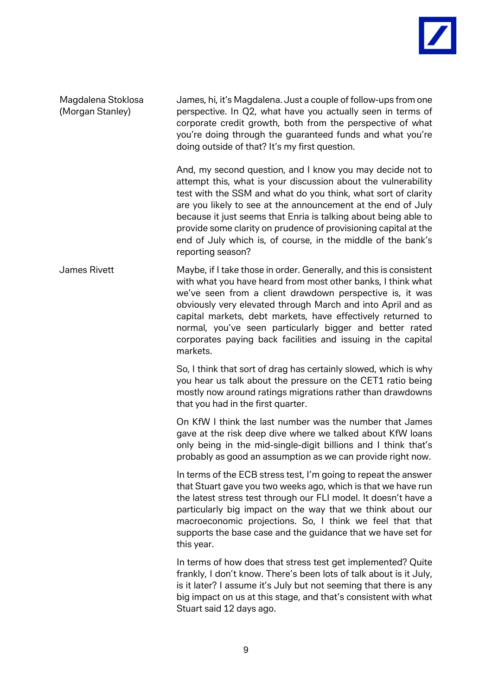Magdalena Stoklosa James, hi, it's Magdalena. Just a couple of follow-ups from one (Morgan Stanley) perspective. In Q2, what have you actually seen in terms of corporate credit growth, both from the perspective of what you're doing through the guaranteed funds and what you're doing outside of that? It's my first question.

> And, my second question, and I know you may decide not to attempt this, what is your discussion about the vulnerability test with the SSM and what do you think, what sort of clarity are you likely to see at the announcement at the end of July because it just seems that Enria is talking about being able to provide some clarity on prudence of provisioning capital at the end of July which is, of course, in the middle of the bank's reporting season?

James Rivett Maybe, if I take those in order. Generally, and this is consistent with what you have heard from most other banks, I think what we've seen from a client drawdown perspective is, it was obviously very elevated through March and into April and as capital markets, debt markets, have effectively returned to normal, you've seen particularly bigger and better rated corporates paying back facilities and issuing in the capital markets.

> So, I think that sort of drag has certainly slowed, which is why you hear us talk about the pressure on the CET1 ratio being mostly now around ratings migrations rather than drawdowns that you had in the first quarter.

> On KfW I think the last number was the number that James gave at the risk deep dive where we talked about KfW loans only being in the mid-single-digit billions and I think that's probably as good an assumption as we can provide right now.

> In terms of the ECB stress test, I'm going to repeat the answer that Stuart gave you two weeks ago, which is that we have run the latest stress test through our FLI model. It doesn't have a particularly big impact on the way that we think about our macroeconomic projections. So, I think we feel that that supports the base case and the guidance that we have set for this year.

> In terms of how does that stress test get implemented? Quite frankly, I don't know. There's been lots of talk about is it July, is it later? I assume it's July but not seeming that there is any big impact on us at this stage, and that's consistent with what Stuart said 12 days ago.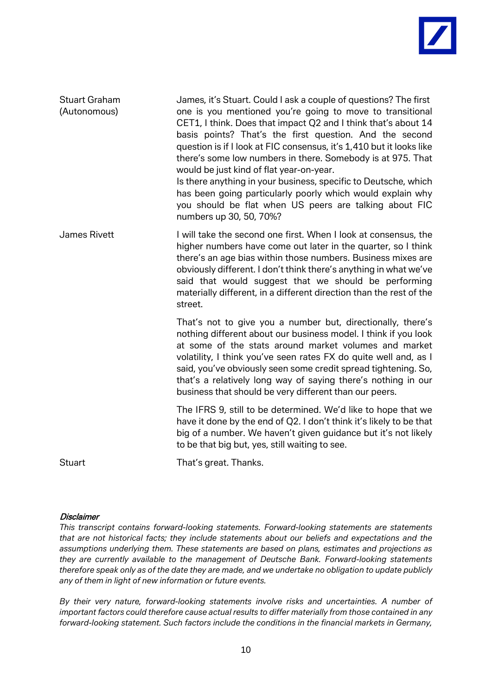| <b>Stuart Graham</b><br>(Autonomous) | James, it's Stuart. Could I ask a couple of questions? The first<br>one is you mentioned you're going to move to transitional<br>CET1, I think. Does that impact Q2 and I think that's about 14<br>basis points? That's the first question. And the second<br>question is if I look at FIC consensus, it's 1,410 but it looks like<br>there's some low numbers in there. Somebody is at 975. That<br>would be just kind of flat year-on-year.<br>Is there anything in your business, specific to Deutsche, which<br>has been going particularly poorly which would explain why<br>you should be flat when US peers are talking about FIC<br>numbers up 30, 50, 70%? |
|--------------------------------------|---------------------------------------------------------------------------------------------------------------------------------------------------------------------------------------------------------------------------------------------------------------------------------------------------------------------------------------------------------------------------------------------------------------------------------------------------------------------------------------------------------------------------------------------------------------------------------------------------------------------------------------------------------------------|
| James Rivett                         | I will take the second one first. When I look at consensus, the<br>higher numbers have come out later in the quarter, so I think<br>there's an age bias within those numbers. Business mixes are<br>obviously different. I don't think there's anything in what we've<br>said that would suggest that we should be performing<br>materially different, in a different direction than the rest of the<br>street.                                                                                                                                                                                                                                                     |
|                                      | That's not to give you a number but, directionally, there's<br>nothing different about our business model. I think if you look<br>at some of the stats around market volumes and market<br>volatility, I think you've seen rates FX do quite well and, as I<br>said, you've obviously seen some credit spread tightening. So,<br>that's a relatively long way of saying there's nothing in our<br>business that should be very different than our peers.                                                                                                                                                                                                            |
|                                      | The IFRS 9, still to be determined. We'd like to hope that we<br>have it done by the end of Q2. I don't think it's likely to be that<br>big of a number. We haven't given guidance but it's not likely<br>to be that big but, yes, still waiting to see.                                                                                                                                                                                                                                                                                                                                                                                                            |
| <b>Stuart</b>                        | That's great. Thanks.                                                                                                                                                                                                                                                                                                                                                                                                                                                                                                                                                                                                                                               |

## **Disclaimer**

*This transcript contains forward-looking statements. Forward-looking statements are statements that are not historical facts; they include statements about our beliefs and expectations and the assumptions underlying them. These statements are based on plans, estimates and projections as they are currently available to the management of Deutsche Bank. Forward-looking statements therefore speak only as of the date they are made, and we undertake no obligation to update publicly any of them in light of new information or future events.*

*By their very nature, forward-looking statements involve risks and uncertainties. A number of important factors could therefore cause actual results to differ materially from those contained in any forward-looking statement. Such factors include the conditions in the financial markets in Germany,*